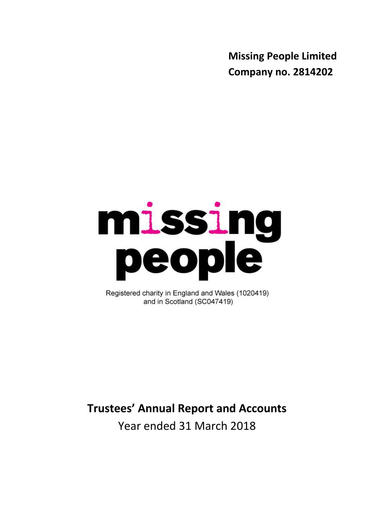**Missing People Limited Company no. 2814202**

# missing<br>people

Registered charity in England and Wales (1020419) and in Scotland (SC047419)

# **Trustees' Annual Report and Accounts**

Year ended 31 March 2018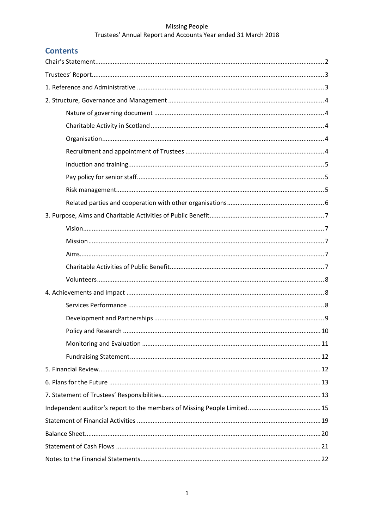# **Contents**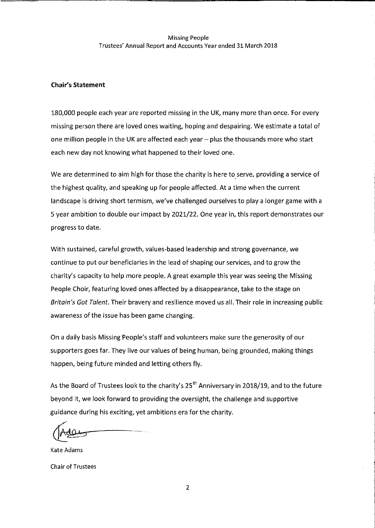## **Chair's Statement**

180,000 people each year are reported missing in the UK, many more than once. For every missing person there are loved ones waiting, hoping and despairing. We estimate a total of one million people in the UK are affected each year - plus the thousands more who start each new day not knowing what happened to their loved one.

We are determined to aim high for those the charity is here to serve, providing a service of the highest quality, and speaking up for people affected. At a time when the current landscape is driving short termism, we've challenged ourselves to play a longer game with a 5 year ambition to double our impact by 2021/22. One year in, this report demonstrates our progress to date.

With sustained, careful growth, values-based leadership and strong governance, we continue to put our beneficiaries in the lead of shaping our services, and to grow the charity's capacity to help more people. A great example this year was seeing the Missing People Choir, featuring loved ones affected by a disappearance, take to the stage on Britain's Got Talent. Their bravery and resilience moved us all. Their role in increasing public awareness of the issue has been game changing.

On a daily basis Missing People's staff and volunteers make sure the generosity of our supporters goes far. They live our values of being human, being grounded, making things happen, being future minded and letting others fly.

As the Board of Trustees look to the charity's 25<sup>th</sup> Anniversary in 2018/19, and to the future beyond it, we look forward to providing the oversight, the challenge and supportive guidance during his exciting, yet ambitions era for the charity.

Kate Adams **Chair of Trustees** 

 $\overline{2}$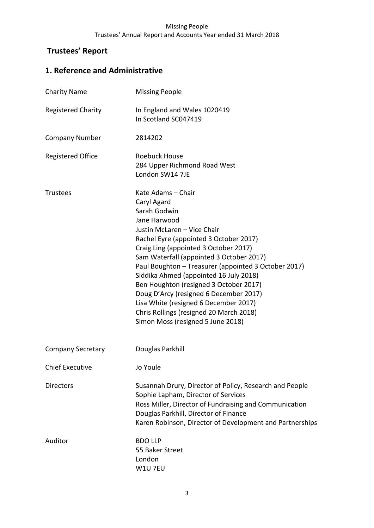# **Trustees' Report**

# **1. Reference and Administrative**

| <b>Charity Name</b>       | <b>Missing People</b>                                                                                                                                                                                                                                                                                                                                                                                                                                                                                                                          |
|---------------------------|------------------------------------------------------------------------------------------------------------------------------------------------------------------------------------------------------------------------------------------------------------------------------------------------------------------------------------------------------------------------------------------------------------------------------------------------------------------------------------------------------------------------------------------------|
| <b>Registered Charity</b> | In England and Wales 1020419<br>In Scotland SC047419                                                                                                                                                                                                                                                                                                                                                                                                                                                                                           |
| <b>Company Number</b>     | 2814202                                                                                                                                                                                                                                                                                                                                                                                                                                                                                                                                        |
| <b>Registered Office</b>  | <b>Roebuck House</b><br>284 Upper Richmond Road West<br>London SW14 7JE                                                                                                                                                                                                                                                                                                                                                                                                                                                                        |
| <b>Trustees</b>           | Kate Adams - Chair<br>Caryl Agard<br>Sarah Godwin<br>Jane Harwood<br>Justin McLaren - Vice Chair<br>Rachel Eyre (appointed 3 October 2017)<br>Craig Ling (appointed 3 October 2017)<br>Sam Waterfall (appointed 3 October 2017)<br>Paul Boughton - Treasurer (appointed 3 October 2017)<br>Siddika Ahmed (appointed 16 July 2018)<br>Ben Houghton (resigned 3 October 2017)<br>Doug D'Arcy (resigned 6 December 2017)<br>Lisa White (resigned 6 December 2017)<br>Chris Rollings (resigned 20 March 2018)<br>Simon Moss (resigned 5 June 2018) |
| <b>Company Secretary</b>  | Douglas Parkhill                                                                                                                                                                                                                                                                                                                                                                                                                                                                                                                               |
| <b>Chief Executive</b>    | Jo Youle                                                                                                                                                                                                                                                                                                                                                                                                                                                                                                                                       |
| <b>Directors</b>          | Susannah Drury, Director of Policy, Research and People<br>Sophie Lapham, Director of Services<br>Ross Miller, Director of Fundraising and Communication<br>Douglas Parkhill, Director of Finance<br>Karen Robinson, Director of Development and Partnerships                                                                                                                                                                                                                                                                                  |
| Auditor                   | <b>BDO LLP</b><br>55 Baker Street<br>London<br>W1U 7EU                                                                                                                                                                                                                                                                                                                                                                                                                                                                                         |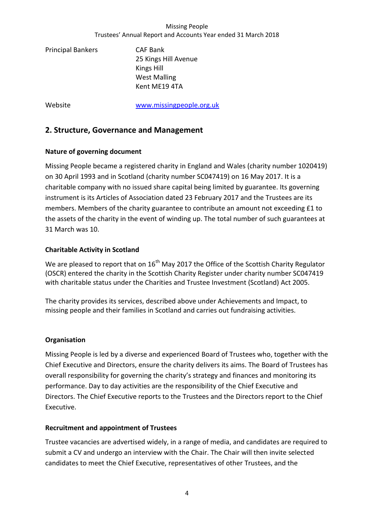Principal Bankers CAF Bank 25 Kings Hill Avenue Kings Hill West Malling Kent ME19 4TA

Website [www.missingpeople.org.uk](http://www.missingpeople.org.uk/)

# **2. Structure, Governance and Management**

# **Nature of governing document**

Missing People became a registered charity in England and Wales (charity number 1020419) on 30 April 1993 and in Scotland (charity number SC047419) on 16 May 2017. It is a charitable company with no issued share capital being limited by guarantee. Its governing instrument is its Articles of Association dated 23 February 2017 and the Trustees are its members. Members of the charity guarantee to contribute an amount not exceeding £1 to the assets of the charity in the event of winding up. The total number of such guarantees at 31 March was 10.

# **Charitable Activity in Scotland**

We are pleased to report that on  $16<sup>th</sup>$  May 2017 the Office of the Scottish Charity Regulator (OSCR) entered the charity in the Scottish Charity Register under charity number SC047419 with charitable status under the Charities and Trustee Investment (Scotland) Act 2005.

The charity provides its services, described above under Achievements and Impact, to missing people and their families in Scotland and carries out fundraising activities.

# **Organisation**

Missing People is led by a diverse and experienced Board of Trustees who, together with the Chief Executive and Directors, ensure the charity delivers its aims. The Board of Trustees has overall responsibility for governing the charity's strategy and finances and monitoring its performance. Day to day activities are the responsibility of the Chief Executive and Directors. The Chief Executive reports to the Trustees and the Directors report to the Chief Executive.

# **Recruitment and appointment of Trustees**

Trustee vacancies are advertised widely, in a range of media, and candidates are required to submit a CV and undergo an interview with the Chair. The Chair will then invite selected candidates to meet the Chief Executive, representatives of other Trustees, and the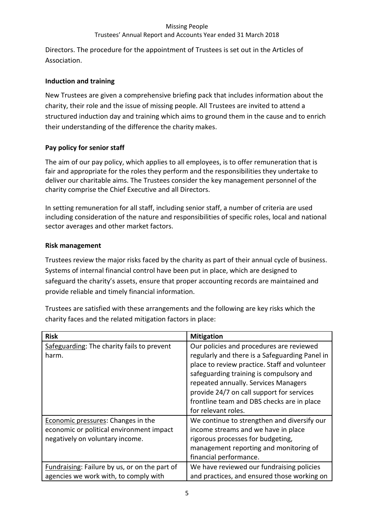# Trustees' Annual Report and Accounts Year ended 31 March 2018

Directors. The procedure for the appointment of Trustees is set out in the Articles of Association.

# **Induction and training**

New Trustees are given a comprehensive briefing pack that includes information about the charity, their role and the issue of missing people. All Trustees are invited to attend a structured induction day and training which aims to ground them in the cause and to enrich their understanding of the difference the charity makes.

# **Pay policy for senior staff**

The aim of our pay policy, which applies to all employees, is to offer remuneration that is fair and appropriate for the roles they perform and the responsibilities they undertake to deliver our charitable aims. The Trustees consider the key management personnel of the charity comprise the Chief Executive and all Directors.

In setting remuneration for all staff, including senior staff, a number of criteria are used including consideration of the nature and responsibilities of specific roles, local and national sector averages and other market factors.

# **Risk management**

Trustees review the major risks faced by the charity as part of their annual cycle of business. Systems of internal financial control have been put in place, which are designed to safeguard the charity's assets, ensure that proper accounting records are maintained and provide reliable and timely financial information.

Trustees are satisfied with these arrangements and the following are key risks which the charity faces and the related mitigation factors in place:

| <b>Risk</b>                                   | <b>Mitigation</b>                              |
|-----------------------------------------------|------------------------------------------------|
| Safeguarding: The charity fails to prevent    | Our policies and procedures are reviewed       |
| harm.                                         | regularly and there is a Safeguarding Panel in |
|                                               | place to review practice. Staff and volunteer  |
|                                               | safeguarding training is compulsory and        |
|                                               | repeated annually. Services Managers           |
|                                               | provide 24/7 on call support for services      |
|                                               | frontline team and DBS checks are in place     |
|                                               | for relevant roles.                            |
| Economic pressures: Changes in the            | We continue to strengthen and diversify our    |
| economic or political environment impact      | income streams and we have in place            |
| negatively on voluntary income.               | rigorous processes for budgeting,              |
|                                               | management reporting and monitoring of         |
|                                               | financial performance.                         |
| Fundraising: Failure by us, or on the part of | We have reviewed our fundraising policies      |
| agencies we work with, to comply with         | and practices, and ensured those working on    |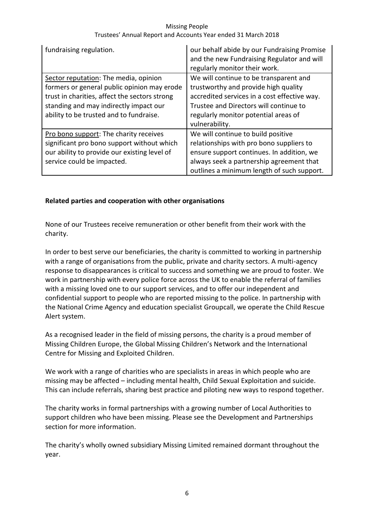| fundraising regulation.                                                                                                                                                                                                    | our behalf abide by our Fundraising Promise<br>and the new Fundraising Regulator and will<br>regularly monitor their work.                                                                                                         |
|----------------------------------------------------------------------------------------------------------------------------------------------------------------------------------------------------------------------------|------------------------------------------------------------------------------------------------------------------------------------------------------------------------------------------------------------------------------------|
| Sector reputation: The media, opinion<br>formers or general public opinion may erode<br>trust in charities, affect the sectors strong<br>standing and may indirectly impact our<br>ability to be trusted and to fundraise. | We will continue to be transparent and<br>trustworthy and provide high quality<br>accredited services in a cost effective way.<br>Trustee and Directors will continue to<br>regularly monitor potential areas of<br>vulnerability. |
| Pro bono support: The charity receives<br>significant pro bono support without which<br>our ability to provide our existing level of<br>service could be impacted.                                                         | We will continue to build positive<br>relationships with pro bono suppliers to<br>ensure support continues. In addition, we<br>always seek a partnership agreement that<br>outlines a minimum length of such support.              |

# **Related parties and cooperation with other organisations**

None of our Trustees receive remuneration or other benefit from their work with the charity.

In order to best serve our beneficiaries, the charity is committed to working in partnership with a range of organisations from the public, private and charity sectors. A multi-agency response to disappearances is critical to success and something we are proud to foster. We work in partnership with every police force across the UK to enable the referral of families with a missing loved one to our support services, and to offer our independent and confidential support to people who are reported missing to the police. In partnership with the National Crime Agency and education specialist Groupcall, we operate the Child Rescue Alert system.

As a recognised leader in the field of missing persons, the charity is a proud member of Missing Children Europe, the Global Missing Children's Network and the International Centre for Missing and Exploited Children.

We work with a range of charities who are specialists in areas in which people who are missing may be affected – including mental health, Child Sexual Exploitation and suicide. This can include referrals, sharing best practice and piloting new ways to respond together.

The charity works in formal partnerships with a growing number of Local Authorities to support children who have been missing. Please see the Development and Partnerships section for more information.

The charity's wholly owned subsidiary Missing Limited remained dormant throughout the year.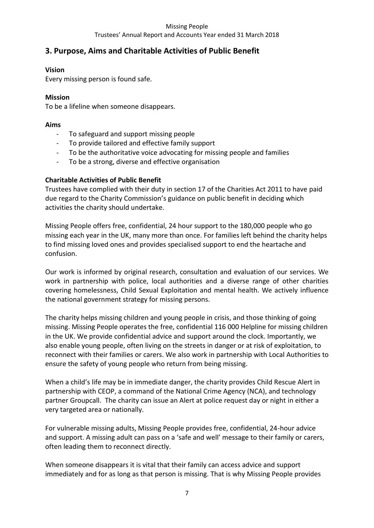# **3. Purpose, Aims and Charitable Activities of Public Benefit**

# **Vision**

Every missing person is found safe.

# **Mission**

To be a lifeline when someone disappears.

# **Aims**

- To safeguard and support missing people
- To provide tailored and effective family support
- To be the authoritative voice advocating for missing people and families
- To be a strong, diverse and effective organisation

# **Charitable Activities of Public Benefit**

Trustees have complied with their duty in section 17 of the Charities Act 2011 to have paid due regard to the Charity Commission's guidance on public benefit in deciding which activities the charity should undertake.

Missing People offers free, confidential, 24 hour support to the 180,000 people who go missing each year in the UK, many more than once. For families left behind the charity helps to find missing loved ones and provides specialised support to end the heartache and confusion.

Our work is informed by original research, consultation and evaluation of our services. We work in partnership with police, local authorities and a diverse range of other charities covering homelessness, Child Sexual Exploitation and mental health. We actively influence the national government strategy for missing persons.

The charity helps missing children and young people in crisis, and those thinking of going missing. Missing People operates the free, confidential 116 000 Helpline for missing children in the UK. We provide confidential advice and support around the clock. Importantly, we also enable young people, often living on the streets in danger or at risk of exploitation, to reconnect with their families or carers. We also work in partnership with Local Authorities to ensure the safety of young people who return from being missing.

When a child's life may be in immediate danger, the charity provides Child Rescue Alert in partnership with CEOP, a command of the [National Crime Agency \(NCA\),](http://nationalcrimeagency.gov.uk/) and technology partner Groupcall. The charity can issue an Alert at police request day or night in either a very targeted area or nationally.

For vulnerable missing adults, Missing People provides free, confidential, 24-hour advice and support. A missing adult can pass on a 'safe and well' message to their family or carers, often leading them to reconnect directly.

When someone disappears it is vital that their family can access advice and support immediately and for as long as that person is missing. That is why Missing People provides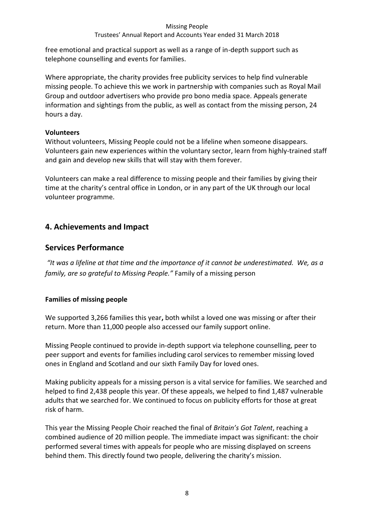# Trustees' Annual Report and Accounts Year ended 31 March 2018

free emotional and practical support as well as a range of in-depth support such as telephone counselling and events for families.

Where appropriate, the charity provides free publicity services to help find vulnerable missing people. To achieve this we work in partnership with companies such as Royal Mail Group and outdoor advertisers who provide pro bono media space. Appeals generate information and sightings from the public, as well as contact from the missing person, 24 hours a day.

# **Volunteers**

Without volunteers, Missing People could not be a lifeline when someone disappears. Volunteers gain new experiences within the voluntary sector, learn from highly-trained staff and gain and develop new skills that will stay with them forever.

Volunteers can make a real difference to missing people and their families by giving their time at the charity's central office in London, or in any part of the UK through our local volunteer programme.

# **4. Achievements and Impact**

# **Services Performance**

*"It was a lifeline at that time and the importance of it cannot be underestimated. We, as a family, are so grateful to Missing People."* Family of a missing person

# **Families of missing people**

We supported 3,266 families this year**,** both whilst a loved one was missing or after their return. More than 11,000 people also accessed our family support online.

Missing People continued to provide in-depth support via telephone counselling, peer to peer support and events for families including carol services to remember missing loved ones in England and Scotland and our sixth Family Day for loved ones.

Making publicity appeals for a missing person is a vital service for families. We searched and helped to find 2,438 people this year. Of these appeals, we helped to find 1,487 vulnerable adults that we searched for. We continued to focus on publicity efforts for those at great risk of harm.

This year the Missing People Choir reached the final of *Britain's Got Talent*, reaching a combined audience of 20 million people. The immediate impact was significant: the choir performed several times with appeals for people who are missing displayed on screens behind them. This directly found two people, delivering the charity's mission.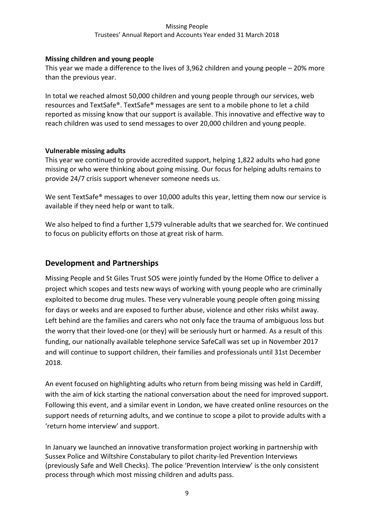# **Missing children and young people**

This year we made a difference to the lives of 3,962 children and young people – 20% more than the previous year.

In total we reached almost 50,000 children and young people through our services, web resources and TextSafe®. TextSafe® messages are sent to a mobile phone to let a child reported as missing know that our support is available. This innovative and effective way to reach children was used to send messages to over 20,000 children and young people.

# **Vulnerable missing adults**

This year we continued to provide accredited support, helping 1,822 adults who had gone missing or who were thinking about going missing. Our focus for helping adults remains to provide 24/7 crisis support whenever someone needs us.

We sent TextSafe® messages to over 10,000 adults this year, letting them now our service is available if they need help or want to talk.

We also helped to find a further 1,579 vulnerable adults that we searched for. We continued to focus on publicity efforts on those at great risk of harm.

# **Development and Partnerships**

Missing People and St Giles Trust SOS were jointly funded by the Home Office to deliver a project which scopes and tests new ways of working with young people who are criminally exploited to become drug mules. These very vulnerable young people often going missing for days or weeks and are exposed to further abuse, violence and other risks whilst away. Left behind are the families and carers who not only face the trauma of ambiguous loss but the worry that their loved-one (or they) will be seriously hurt or harmed. As a result of this funding, our nationally available telephone service SafeCall was set up in November 2017 and will continue to support children, their families and professionals until 31st December 2018.

An event focused on highlighting adults who return from being missing was held in Cardiff, with the aim of kick starting the national conversation about the need for improved support. Following this event, and a similar event in London, we have created online resources on the support needs of returning adults, and we continue to scope a pilot to provide adults with a 'return home interview' and support.

In January we launched an innovative transformation project working in partnership with Sussex Police and Wiltshire Constabulary to pilot charity-led Prevention Interviews (previously Safe and Well Checks). The police 'Prevention Interview' is the only consistent process through which most missing children and adults pass.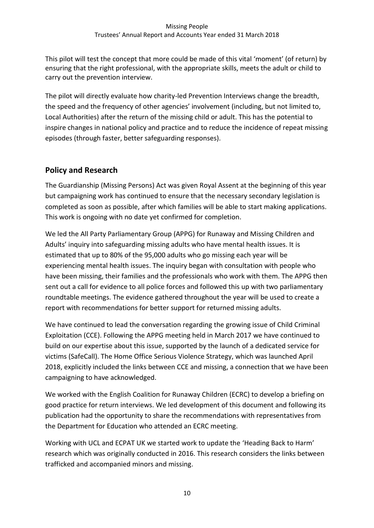This pilot will test the concept that more could be made of this vital 'moment' (of return) by ensuring that the right professional, with the appropriate skills, meets the adult or child to carry out the prevention interview.

The pilot will directly evaluate how charity-led Prevention Interviews change the breadth, the speed and the frequency of other agencies' involvement (including, but not limited to, Local Authorities) after the return of the missing child or adult. This has the potential to inspire changes in national policy and practice and to reduce the incidence of repeat missing episodes (through faster, better safeguarding responses).

# **Policy and Research**

The Guardianship (Missing Persons) Act was given Royal Assent at the beginning of this year but campaigning work has continued to ensure that the necessary secondary legislation is completed as soon as possible, after which families will be able to start making applications. This work is ongoing with no date yet confirmed for completion.

We led the All Party Parliamentary Group (APPG) for Runaway and Missing Children and Adults' inquiry into safeguarding missing adults who have mental health issues. It is estimated that up to 80% of the 95,000 adults who go missing each year will be experiencing mental health issues. The inquiry began with consultation with people who have been missing, their families and the professionals who work with them. The APPG then sent out a call for evidence to all police forces and followed this up with two parliamentary roundtable meetings. The evidence gathered throughout the year will be used to create a report with recommendations for better support for returned missing adults.

We have continued to lead the conversation regarding the growing issue of Child Criminal Exploitation (CCE). Following the APPG meeting held in March 2017 we have continued to build on our expertise about this issue, supported by the launch of a dedicated service for victims (SafeCall). The Home Office Serious Violence Strategy, which was launched April 2018, explicitly included the links between CCE and missing, a connection that we have been campaigning to have acknowledged.

We worked with the English Coalition for Runaway Children (ECRC) to develop a briefing on good practice for return interviews. We led development of this document and following its publication had the opportunity to share the recommendations with representatives from the Department for Education who attended an ECRC meeting.

Working with UCL and ECPAT UK we started work to update the 'Heading Back to Harm' research which was originally conducted in 2016. This research considers the links between trafficked and accompanied minors and missing.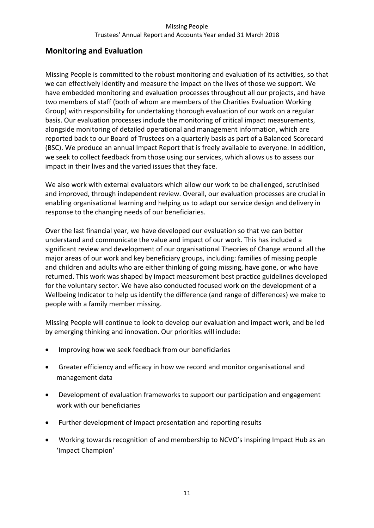# **Monitoring and Evaluation**

Missing People is committed to the robust monitoring and evaluation of its activities, so that we can effectively identify and measure the impact on the lives of those we support. We have embedded monitoring and evaluation processes throughout all our projects, and have two members of staff (both of whom are members of the Charities Evaluation Working Group) with responsibility for undertaking thorough evaluation of our work on a regular basis. Our evaluation processes include the monitoring of critical impact measurements, alongside monitoring of detailed operational and management information, which are reported back to our Board of Trustees on a quarterly basis as part of a Balanced Scorecard (BSC). We produce an annual Impact Report that is freely available to everyone. In addition, we seek to collect feedback from those using our services, which allows us to assess our impact in their lives and the varied issues that they face.

We also work with external evaluators which allow our work to be challenged, scrutinised and improved, through independent review. Overall, our evaluation processes are crucial in enabling organisational learning and helping us to adapt our service design and delivery in response to the changing needs of our beneficiaries.

Over the last financial year, we have developed our evaluation so that we can better understand and communicate the value and impact of our work. This has included a significant review and development of our organisational Theories of Change around all the major areas of our work and key beneficiary groups, including: families of missing people and children and adults who are either thinking of going missing, have gone, or who have returned. This work was shaped by impact measurement best practice guidelines developed for the voluntary sector. We have also conducted focused work on the development of a Wellbeing Indicator to help us identify the difference (and range of differences) we make to people with a family member missing.

Missing People will continue to look to develop our evaluation and impact work, and be led by emerging thinking and innovation. Our priorities will include:

- Improving how we seek feedback from our beneficiaries
- Greater efficiency and efficacy in how we record and monitor organisational and management data
- Development of evaluation frameworks to support our participation and engagement work with our beneficiaries
- Further development of impact presentation and reporting results
- Working towards recognition of and membership to NCVO's Inspiring Impact Hub as an 'Impact Champion'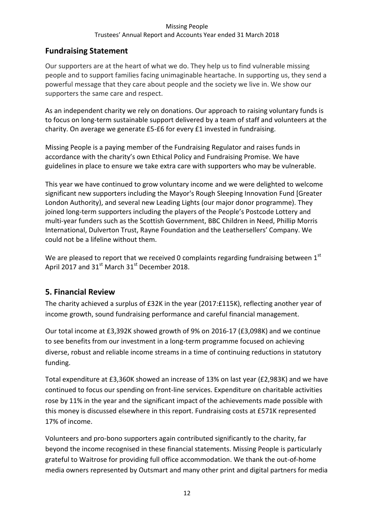# **Fundraising Statement**

Our supporters are at the heart of what we do. They help us to find vulnerable missing people and to support families facing unimaginable heartache. In supporting us, they send a powerful message that they care about people and the society we live in. We show our supporters the same care and respect.

As an independent charity we rely on donations. Our approach to raising voluntary funds is to focus on long-term sustainable support delivered by a team of staff and volunteers at the charity. On average we generate £5-£6 for every £1 invested in fundraising.

Missing People is a paying member of the Fundraising Regulator and raises funds in accordance with the charity's own Ethical Policy and Fundraising Promise. We have guidelines in place to ensure we take extra care with supporters who may be vulnerable.

This year we have continued to grow voluntary income and we were delighted to welcome significant new supporters including the Mayor's Rough Sleeping Innovation Fund [Greater London Authority), and several new Leading Lights (our major donor programme). They joined long-term supporters including the players of the People's Postcode Lottery and multi-year funders such as the Scottish Government, BBC Children in Need, Phillip Morris International, Dulverton Trust, Rayne Foundation and the Leathersellers' Company. We could not be a lifeline without them.

We are pleased to report that we received 0 complaints regarding fundraising between  $1<sup>st</sup>$ April 2017 and  $31<sup>st</sup>$  March  $31<sup>st</sup>$  December 2018.

# **5. Financial Review**

The charity achieved a surplus of £32K in the year (2017:£115K), reflecting another year of income growth, sound fundraising performance and careful financial management.

Our total income at £3,392K showed growth of 9% on 2016-17 (£3,098K) and we continue to see benefits from our investment in a long-term programme focused on achieving diverse, robust and reliable income streams in a time of continuing reductions in statutory funding.

Total expenditure at £3,360K showed an increase of 13% on last year (£2,983K) and we have continued to focus our spending on front-line services. Expenditure on charitable activities rose by 11% in the year and the significant impact of the achievements made possible with this money is discussed elsewhere in this report. Fundraising costs at £571K represented 17% of income.

Volunteers and pro-bono supporters again contributed significantly to the charity, far beyond the income recognised in these financial statements. Missing People is particularly grateful to Waitrose for providing full office accommodation. We thank the out-of-home media owners represented by Outsmart and many other print and digital partners for media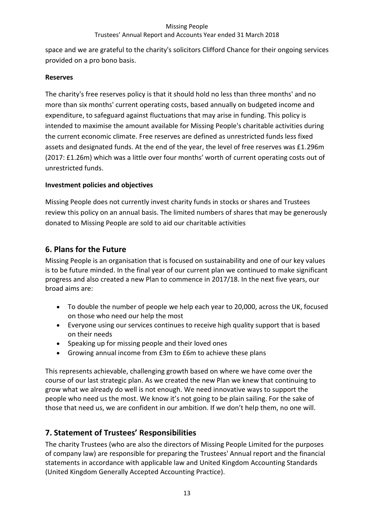# Trustees' Annual Report and Accounts Year ended 31 March 2018

space and we are grateful to the charity's solicitors Clifford Chance for their ongoing services provided on a pro bono basis.

# **Reserves**

The charity's free reserves policy is that it should hold no less than three months' and no more than six months' current operating costs, based annually on budgeted income and expenditure, to safeguard against fluctuations that may arise in funding. This policy is intended to maximise the amount available for Missing People's charitable activities during the current economic climate. Free reserves are defined as unrestricted funds less fixed assets and designated funds. At the end of the year, the level of free reserves was £1.296m (2017: £1.26m) which was a little over four months' worth of current operating costs out of unrestricted funds.

# **Investment policies and objectives**

Missing People does not currently invest charity funds in stocks or shares and Trustees review this policy on an annual basis. The limited numbers of shares that may be generously donated to Missing People are sold to aid our charitable activities

# **6. Plans for the Future**

Missing People is an organisation that is focused on sustainability and one of our key values is to be future minded. In the final year of our current plan we continued to make significant progress and also created a new Plan to commence in 2017/18. In the next five years, our broad aims are:

- To double the number of people we help each year to 20,000, across the UK, focused on those who need our help the most
- Everyone using our services continues to receive high quality support that is based on their needs
- Speaking up for missing people and their loved ones
- Growing annual income from £3m to £6m to achieve these plans

This represents achievable, challenging growth based on where we have come over the course of our last strategic plan. As we created the new Plan we knew that continuing to grow what we already do well is not enough. We need innovative ways to support the people who need us the most. We know it's not going to be plain sailing. For the sake of those that need us, we are confident in our ambition. If we don't help them, no one will.

# **7. Statement of Trustees' Responsibilities**

The charity Trustees (who are also the directors of Missing People Limited for the purposes of company law) are responsible for preparing the Trustees' Annual report and the financial statements in accordance with applicable law and United Kingdom Accounting Standards (United Kingdom Generally Accepted Accounting Practice).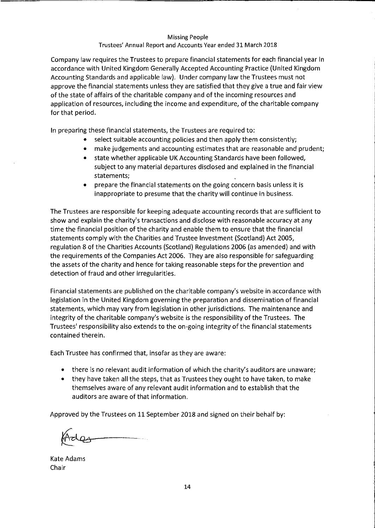#### Trustees' Annual Report and Accounts Year ended 31 March 2018

Company law requires the Trustees to prepare financial statements for each financial year in accordance with United Kingdom Generally Accepted Accounting Practice (United Kingdom Accounting Standards and applicable law). Under company law the Trustees must not approve the financial statements unless they are satisfied that they give a true and fair view of the state of affairs of the charitable company and of the incoming resources and application of resources, including the income and expenditure, of the charitable company for that period.

In preparing these financial statements, the Trustees are required to:

- select suitable accounting policies and then apply them consistently;
- make judgements and accounting estimates that are reasonable and prudent;
- state whether applicable UK Accounting Standards have been followed, subject to any material departures disclosed and explained in the financial statements;
- prepare the financial statements on the going concern basis unless it is inappropriate to presume that the charity will continue in business.

The Trustees are responsible for keeping adequate accounting records that are sufficient to show and explain the charity's transactions and disclose with reasonable accuracy at any time the financial position of the charity and enable them to ensure that the financial statements comply with the Charities and Trustee Investment (Scotland) Act 2005, regulation 8 of the Charities Accounts (Scotland) Regulations 2006 (as amended) and with the requirements of the Companies Act 2006. They are also responsible for safeguarding the assets of the charity and hence for taking reasonable steps for the prevention and detection of fraud and other irregularities.

Financial statements are published on the charitable company's website in accordance with legislation in the United Kingdom governing the preparation and dissemination of financial statements, which may vary from legislation in other jurisdictions. The maintenance and integrity of the charitable company's website is the responsibility of the Trustees. The Trustees' responsibility also extends to the on-going integrity of the financial statements contained therein.

Each Trustee has confirmed that, insofar as they are aware:

- there is no relevant audit information of which the charity's auditors are unaware;
- they have taken all the steps, that as Trustees they ought to have taken, to make themselves aware of any relevant audit information and to establish that the auditors are aware of that information.

Approved by the Trustees on 11 September 2018 and signed on their behalf by:

Kate Adams Chair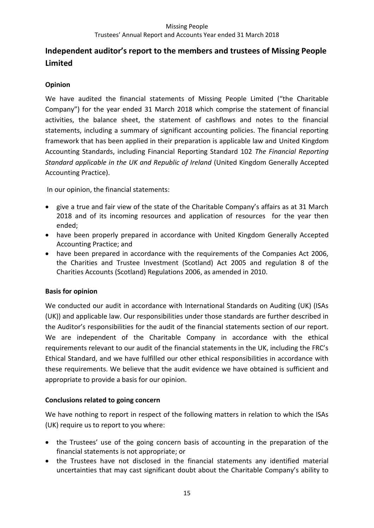# **Independent auditor's report to the members and trustees of Missing People Limited**

# **Opinion**

We have audited the financial statements of Missing People Limited ("the Charitable Company") for the year ended 31 March 2018 which comprise the statement of financial activities, the balance sheet, the statement of cashflows and notes to the financial statements, including a summary of significant accounting policies. The financial reporting framework that has been applied in their preparation is applicable law and United Kingdom Accounting Standards, including Financial Reporting Standard 102 *The Financial Reporting Standard applicable in the UK and Republic of Ireland* (United Kingdom Generally Accepted Accounting Practice).

In our opinion, the financial statements:

- give a true and fair view of the state of the Charitable Company's affairs as at 31 March 2018 and of its incoming resources and application of resources for the year then ended;
- have been properly prepared in accordance with United Kingdom Generally Accepted Accounting Practice; and
- have been prepared in accordance with the requirements of the Companies Act 2006, the Charities and Trustee Investment (Scotland) Act 2005 and regulation 8 of the Charities Accounts (Scotland) Regulations 2006, as amended in 2010.

# **Basis for opinion**

We conducted our audit in accordance with International Standards on Auditing (UK) (ISAs (UK)) and applicable law. Our responsibilities under those standards are further described in the Auditor's responsibilities for the audit of the financial statements section of our report. We are independent of the Charitable Company in accordance with the ethical requirements relevant to our audit of the financial statements in the UK, including the FRC's Ethical Standard, and we have fulfilled our other ethical responsibilities in accordance with these requirements. We believe that the audit evidence we have obtained is sufficient and appropriate to provide a basis for our opinion.

# **Conclusions related to going concern**

We have nothing to report in respect of the following matters in relation to which the ISAs (UK) require us to report to you where:

- the Trustees' use of the going concern basis of accounting in the preparation of the financial statements is not appropriate; or
- the Trustees have not disclosed in the financial statements any identified material uncertainties that may cast significant doubt about the Charitable Company's ability to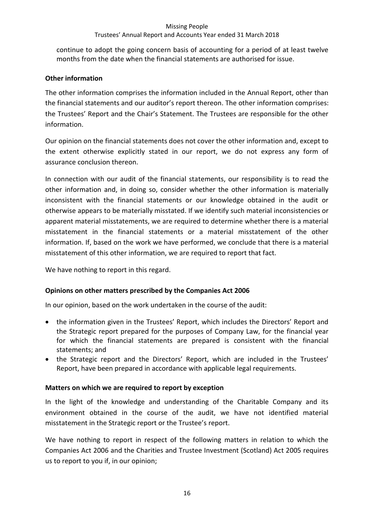continue to adopt the going concern basis of accounting for a period of at least twelve months from the date when the financial statements are authorised for issue.

# **Other information**

The other information comprises the information included in the Annual Report, other than the financial statements and our auditor's report thereon. The other information comprises: the Trustees' Report and the Chair's Statement. The Trustees are responsible for the other information.

Our opinion on the financial statements does not cover the other information and, except to the extent otherwise explicitly stated in our report, we do not express any form of assurance conclusion thereon.

In connection with our audit of the financial statements, our responsibility is to read the other information and, in doing so, consider whether the other information is materially inconsistent with the financial statements or our knowledge obtained in the audit or otherwise appears to be materially misstated. If we identify such material inconsistencies or apparent material misstatements, we are required to determine whether there is a material misstatement in the financial statements or a material misstatement of the other information. If, based on the work we have performed, we conclude that there is a material misstatement of this other information, we are required to report that fact.

We have nothing to report in this regard.

# **Opinions on other matters prescribed by the Companies Act 2006**

In our opinion, based on the work undertaken in the course of the audit:

- the information given in the Trustees' Report, which includes the Directors' Report and the Strategic report prepared for the purposes of Company Law, for the financial year for which the financial statements are prepared is consistent with the financial statements; and
- the Strategic report and the Directors' Report, which are included in the Trustees' Report, have been prepared in accordance with applicable legal requirements.

# **Matters on which we are required to report by exception**

In the light of the knowledge and understanding of the Charitable Company and its environment obtained in the course of the audit, we have not identified material misstatement in the Strategic report or the Trustee's report.

We have nothing to report in respect of the following matters in relation to which the Companies Act 2006 and the Charities and Trustee Investment (Scotland) Act 2005 requires us to report to you if, in our opinion;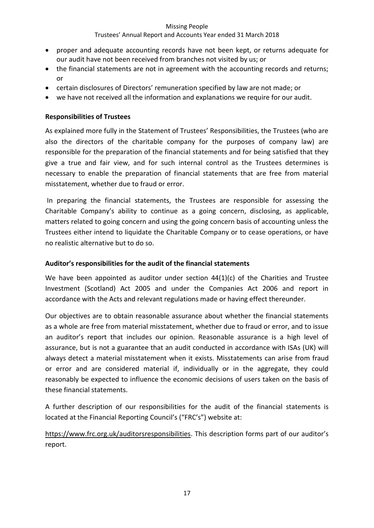# Trustees' Annual Report and Accounts Year ended 31 March 2018

- proper and adequate accounting records have not been kept, or returns adequate for our audit have not been received from branches not visited by us; or
- the financial statements are not in agreement with the accounting records and returns; or
- certain disclosures of Directors' remuneration specified by law are not made; or
- we have not received all the information and explanations we require for our audit.

# **Responsibilities of Trustees**

As explained more fully in the Statement of Trustees' Responsibilities, the Trustees (who are also the directors of the charitable company for the purposes of company law) are responsible for the preparation of the financial statements and for being satisfied that they give a true and fair view, and for such internal control as the Trustees determines is necessary to enable the preparation of financial statements that are free from material misstatement, whether due to fraud or error.

In preparing the financial statements, the Trustees are responsible for assessing the Charitable Company's ability to continue as a going concern, disclosing, as applicable, matters related to going concern and using the going concern basis of accounting unless the Trustees either intend to liquidate the Charitable Company or to cease operations, or have no realistic alternative but to do so.

# **Auditor's responsibilities for the audit of the financial statements**

We have been appointed as auditor under section 44(1)(c) of the Charities and Trustee Investment (Scotland) Act 2005 and under the Companies Act 2006 and report in accordance with the Acts and relevant regulations made or having effect thereunder.

Our objectives are to obtain reasonable assurance about whether the financial statements as a whole are free from material misstatement, whether due to fraud or error, and to issue an auditor's report that includes our opinion. Reasonable assurance is a high level of assurance, but is not a guarantee that an audit conducted in accordance with ISAs (UK) will always detect a material misstatement when it exists. Misstatements can arise from fraud or error and are considered material if, individually or in the aggregate, they could reasonably be expected to influence the economic decisions of users taken on the basis of these financial statements.

A further description of our responsibilities for the audit of the financial statements is located at the Financial Reporting Council's ("FRC's") website at:

<https://www.frc.org.uk/auditorsresponsibilities>. This description forms part of our auditor's report.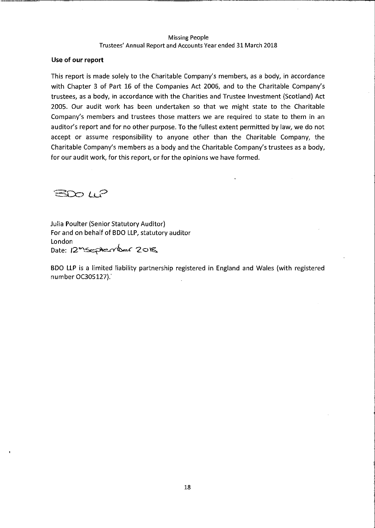#### Use of our report

This report is made solely to the Charitable Company's members, as a body, in accordance with Chapter 3 of Part 16 of the Companies Act 2006, and to the Charitable Company's trustees, as a body, in accordance with the Charities and Trustee Investment (Scotland) Act 2005. Our audit work has been undertaken so that we might state to the Charitable Company's members and trustees those matters we are required to state to them in an auditor's report and for no other purpose. To the fullest extent permitted by law, we do not accept or assume responsibility to anyone other than the Charitable Company, the Charitable Company's members as a body and the Charitable Company's trustees as a body, for our audit work, for this report, or for the opinions we have formed.

**BDO WP** 

**Julia Poulter (Senior Statutory Auditor)** For and on behalf of BDO LLP, statutory auditor London Date: 12 September 2018

BDO LLP is a limited liability partnership registered in England and Wales (with registered number OC305127).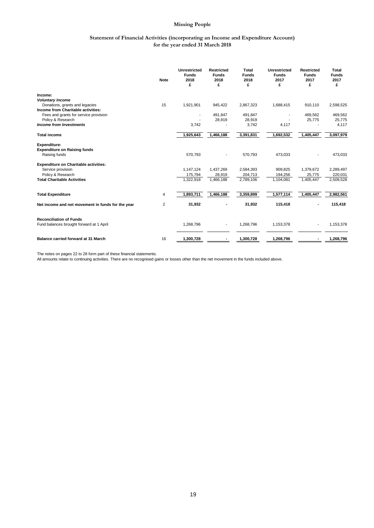#### **Statement of Financial Activities (incorporating an Income and Expenditure Account) for the year ended 31 March 2018**

|                                                     | <b>Note</b> | <b>Unrestricted</b><br><b>Funds</b><br>2018<br>£ | <b>Restricted</b><br><b>Funds</b><br>2018<br>£ | <b>Total</b><br><b>Funds</b><br>2018<br>£ | <b>Unrestricted</b><br><b>Funds</b><br>2017<br>£ | <b>Restricted</b><br><b>Funds</b><br>2017<br>£ | <b>Total</b><br><b>Funds</b><br>2017<br>£ |
|-----------------------------------------------------|-------------|--------------------------------------------------|------------------------------------------------|-------------------------------------------|--------------------------------------------------|------------------------------------------------|-------------------------------------------|
| Income:                                             |             |                                                  |                                                |                                           |                                                  |                                                |                                           |
| <b>Voluntary Income</b>                             |             |                                                  |                                                |                                           |                                                  |                                                |                                           |
| Donations, grants and legacies                      | 15          | 1,921,901                                        | 945,422                                        | 2,867,323                                 | 1,688,415                                        | 910,110                                        | 2,598,525                                 |
| Income from Charitable activities:                  |             |                                                  |                                                |                                           |                                                  |                                                |                                           |
| Fees and grants for service provision               |             |                                                  | 491,847                                        | 491,847                                   |                                                  | 469,562                                        | 469,562                                   |
| Policy & Research<br><b>Income from Investments</b> |             |                                                  | 28,919                                         | 28,919<br>3,742                           |                                                  | 25,775                                         | 25,775                                    |
|                                                     |             | 3,742                                            |                                                |                                           | 4,117                                            |                                                | 4,117                                     |
| <b>Total income</b>                                 |             | 1,925,643                                        | 1,466,188                                      | 3,391,831                                 | 1,692,532                                        | 1,405,447                                      | 3,097,979                                 |
| <b>Expenditure:</b>                                 |             |                                                  |                                                |                                           |                                                  |                                                |                                           |
| <b>Expenditure on Raising funds</b>                 |             |                                                  |                                                |                                           |                                                  |                                                |                                           |
| Raising funds                                       |             | 570,793                                          |                                                | 570,793                                   | 473,033                                          |                                                | 473,033                                   |
| <b>Expenditure on Charitable activities:</b>        |             |                                                  |                                                |                                           |                                                  |                                                |                                           |
| Service provision                                   |             | 1,147,124                                        | 1,437,269                                      | 2,584,393                                 | 909,825                                          | 1,379,672                                      | 2,289,497                                 |
| Policy & Research                                   |             | 175,794                                          | 28,919                                         | 204,713                                   | 194,256                                          | 25,775                                         | 220,031                                   |
| <b>Total Charitable Activities</b>                  |             | 1,322,918                                        | 1,466,188                                      | 2,789,106                                 | 1,104,081                                        | 1,405,447                                      | 2,509,528                                 |
| <b>Total Expenditure</b>                            | 4           | 1,893,711                                        | 1,466,188                                      | 3,359,899                                 | 1,577,114                                        | 1,405,447                                      | 2,982,561                                 |
|                                                     |             |                                                  |                                                |                                           |                                                  |                                                |                                           |
| Net income and net movement in funds for the year   | 2           | 31,932                                           |                                                | 31,932                                    | 115,418                                          |                                                | 115,418                                   |
| <b>Reconciliation of Funds</b>                      |             |                                                  |                                                |                                           |                                                  |                                                |                                           |
| Fund balances brought forward at 1 April            |             | 1,268,796                                        |                                                | 1,268,796                                 | 1,153,378                                        |                                                | 1,153,378                                 |
|                                                     |             |                                                  |                                                |                                           |                                                  |                                                |                                           |
| <b>Balance carried forward at 31 March</b>          | 16          | 1,300,728                                        |                                                | 1,300,728                                 | 1,268,796                                        |                                                | 1,268,796                                 |

The notes on pages 22 to 28 form part of these financial statements. All amounts relate to continuing activities. There are no recognised gains or losses other than the net movement in the funds included above.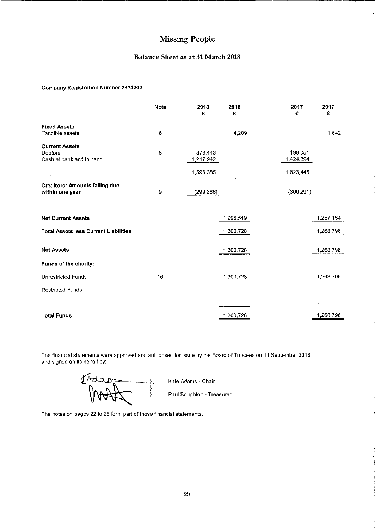## Balance Sheet as at 31 March 2018

#### **Company Registration Number 2814202**

|                                                                     | Note    | 2018<br>£                         | 2018<br>£ | 2017<br>£                         | 2017<br>£ |
|---------------------------------------------------------------------|---------|-----------------------------------|-----------|-----------------------------------|-----------|
| <b>Fixed Assets</b><br>Tangible assets                              | $\,6\,$ |                                   | 4,209     |                                   | 11,642    |
| <b>Current Assets</b><br><b>Debtors</b><br>Cash at bank and in hand | 8       | 378,443<br>1,217,942<br>1,596,385 |           | 199,051<br>1,424,394<br>1,623,445 |           |
| <b>Creditors: Amounts falling due</b><br>within one year            | 9       | (299, 866)                        |           | (366, 291)                        |           |
| <b>Net Current Assets</b>                                           |         |                                   | 1,296,519 |                                   | 1,257,154 |
| <b>Total Assets less Current Liabilities</b>                        |         |                                   | 1,300,728 |                                   | 1,268,796 |
| <b>Net Assets</b>                                                   |         |                                   | 1,300,728 |                                   | 1,268,796 |
| Funds of the charity:                                               |         |                                   |           |                                   |           |
| <b>Unrestricted Funds</b>                                           | 16      |                                   | 1,300,728 |                                   | 1,268,796 |
| <b>Restricted Funds</b>                                             |         |                                   |           |                                   |           |
|                                                                     |         |                                   |           |                                   |           |
| <b>Total Funds</b>                                                  |         |                                   | 1,300,728 |                                   | 1,268,796 |

The financial statements were approved and authorised for issue by the Board of Trustees on 11 September 2018 and signed on its behalf by:

Adam  $\frac{1}{\sqrt{2\pi}}$ 

Kate Adams - Chair

Paul Boughton - Treasurer

 $\overline{a}$ 

The notes on pages 22 to 28 form part of these financial statements.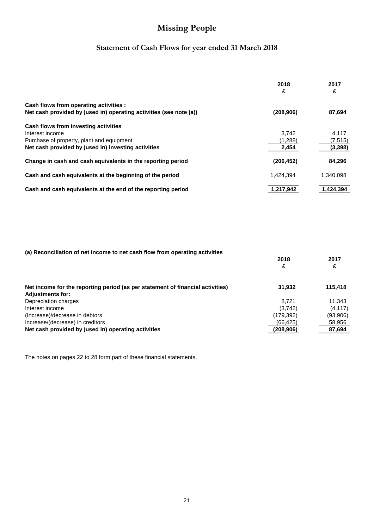# **Statement of Cash Flows for year ended 31 March 2018**

|                                                                    | 2018<br>£  | 2017<br>£ |
|--------------------------------------------------------------------|------------|-----------|
| Cash flows from operating activities :                             |            |           |
| Net cash provided by (used in) operating activities (see note (a)) | (208, 906) | 87,694    |
| Cash flows from investing activities                               |            |           |
| Interest income                                                    | 3.742      | 4.117     |
| Purchase of property, plant and equipment                          | (1,288)    | (7, 515)  |
| Net cash provided by (used in) investing activities                | 2,454      | (3, 398)  |
| Change in cash and cash equivalents in the reporting period        | (206, 452) | 84.296    |
| Cash and cash equivalents at the beginning of the period           | 1.424.394  | 1,340,098 |
| Cash and cash equivalents at the end of the reporting period       | 1.217.942  | 1.424.394 |

| (a) Reconciliation of net income to net cash flow from operating activities    |            |          |
|--------------------------------------------------------------------------------|------------|----------|
|                                                                                | 2018       | 2017     |
|                                                                                | £          | £        |
| Net income for the reporting period (as per statement of financial activities) | 31,932     | 115,418  |
| <b>Adjustments for:</b>                                                        |            |          |
| Depreciation charges                                                           | 8.721      | 11.343   |
| Interest income                                                                | (3,742)    | (4, 117) |
| (Increase)/decrease in debtors                                                 | (179, 392) | (93,906) |
| Increase/(decrease) in creditors                                               | (66, 425)  | 58,956   |
| Net cash provided by (used in) operating activities                            | (208,906)  | 87.694   |

The notes on pages 22 to 28 form part of these financial statements.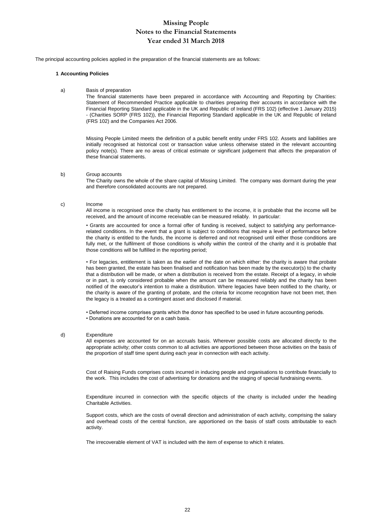The principal accounting policies applied in the preparation of the financial statements are as follows:

#### **1 Accounting Policies**

a) Basis of preparation

The financial statements have been prepared in accordance with Accounting and Reporting by Charities: Statement of Recommended Practice applicable to charities preparing their accounts in accordance with the Financial Reporting Standard applicable in the UK and Republic of Ireland (FRS 102) (effective 1 January 2015) - (Charities SORP (FRS 102)), the Financial Reporting Standard applicable in the UK and Republic of Ireland (FRS 102) and the Companies Act 2006.

Missing People Limited meets the definition of a public benefit entity under FRS 102. Assets and liabilities are initially recognised at historical cost or transaction value unless otherwise stated in the relevant accounting policy note(s). There are no areas of critical estimate or significant judgement that affects the preparation of these financial statements.

#### b) Group accounts

The Charity owns the whole of the share capital of Missing Limited. The company was dormant during the year and therefore consolidated accounts are not prepared.

#### c) Income

All income is recognised once the charity has entitlement to the income, it is probable that the income will be received, and the amount of income receivable can be measured reliably. In particular:

• Grants are accounted for once a formal offer of funding is received, subject to satisfying any performancerelated conditions. In the event that a grant is subject to conditions that require a level of performance before the charity is entitled to the funds, the income is deferred and not recognised until either those conditions are fully met, or the fulfilment of those conditions is wholly within the control of the charity and it is probable that those conditions will be fulfilled in the reporting period;

• For legacies, entitlement is taken as the earlier of the date on which either: the charity is aware that probate has been granted, the estate has been finalised and notification has been made by the executor(s) to the charity that a distribution will be made, or when a distribution is received from the estate. Receipt of a legacy, in whole or in part, is only considered probable when the amount can be measured reliably and the charity has been notified of the executor's intention to make a distribution. Where legacies have been notified to the charity, or the charity is aware of the granting of probate, and the criteria for income recognition have not been met, then the legacy is a treated as a contingent asset and disclosed if material.

• Deferred income comprises grants which the donor has specified to be used in future accounting periods. • Donations are accounted for on a cash basis.

#### d) Expenditure

All expenses are accounted for on an accruals basis. Wherever possible costs are allocated directly to the appropriate activity; other costs common to all activities are apportioned between those activities on the basis of the proportion of staff time spent during each year in connection with each activity.

Cost of Raising Funds comprises costs incurred in inducing people and organisations to contribute financially to the work. This includes the cost of advertising for donations and the staging of special fundraising events.

Expenditure incurred in connection with the specific objects of the charity is included under the heading Charitable Activities.

Support costs, which are the costs of overall direction and administration of each activity, comprising the salary and overhead costs of the central function, are apportioned on the basis of staff costs attributable to each activity.

The irrecoverable element of VAT is included with the item of expense to which it relates.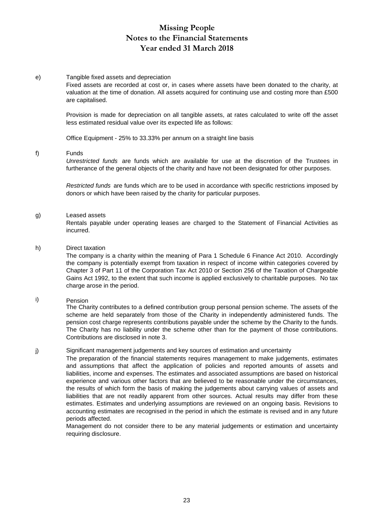#### e) Tangible fixed assets and depreciation

Fixed assets are recorded at cost or, in cases where assets have been donated to the charity, at valuation at the time of donation. All assets acquired for continuing use and costing more than £500 are capitalised.

Provision is made for depreciation on all tangible assets, at rates calculated to write off the asset less estimated residual value over its expected life as follows:

Office Equipment - 25% to 33.33% per annum on a straight line basis

#### f) Funds

*Unrestricted funds* are funds which are available for use at the discretion of the Trustees in furtherance of the general objects of the charity and have not been designated for other purposes.

*Restricted funds* are funds which are to be used in accordance with specific restrictions imposed by donors or which have been raised by the charity for particular purposes.

# g) Leased assets

Rentals payable under operating leases are charged to the Statement of Financial Activities as incurred.

#### h) Direct taxation

The company is a charity within the meaning of Para 1 Schedule 6 Finance Act 2010. Accordingly the company is potentially exempt from taxation in respect of income within categories covered by Chapter 3 of Part 11 of the Corporation Tax Act 2010 or Section 256 of the Taxation of Chargeable Gains Act 1992, to the extent that such income is applied exclusively to charitable purposes. No tax charge arose in the period.

#### i) Pension

The Charity contributes to a defined contribution group personal pension scheme. The assets of the scheme are held separately from those of the Charity in independently administered funds. The pension cost charge represents contributions payable under the scheme by the Charity to the funds. The Charity has no liability under the scheme other than for the payment of those contributions. Contributions are disclosed in note 3.

#### j) Significant management judgements and key sources of estimation and uncertainty

The preparation of the financial statements requires management to make judgements, estimates and assumptions that affect the application of policies and reported amounts of assets and liabilities, income and expenses. The estimates and associated assumptions are based on historical experience and various other factors that are believed to be reasonable under the circumstances, the results of which form the basis of making the judgements about carrying values of assets and liabilities that are not readily apparent from other sources. Actual results may differ from these estimates. Estimates and underlying assumptions are reviewed on an ongoing basis. Revisions to accounting estimates are recognised in the period in which the estimate is revised and in any future periods affected.

Management do not consider there to be any material judgements or estimation and uncertainty requiring disclosure.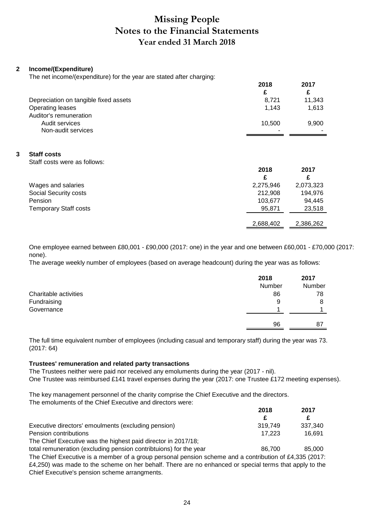# **2 Income/(Expenditure)**

The net income/(expenditure) for the year are stated after charging:

|                                       | 2018   | 2017   |
|---------------------------------------|--------|--------|
|                                       | £      |        |
| Depreciation on tangible fixed assets | 8.721  | 11.343 |
| Operating leases                      | 1.143  | 1,613  |
| Auditor's remuneration                |        |        |
| Audit services                        | 10.500 | 9,900  |
| Non-audit services                    | -      |        |

## **3 Staff costs**

Staff costs were as follows:

|                       | 2018      | 2017      |
|-----------------------|-----------|-----------|
|                       |           | £         |
| Wages and salaries    | 2,275,946 | 2,073,323 |
| Social Security costs | 212,908   | 194,976   |
| Pension               | 103,677   | 94.445    |
| Temporary Staff costs | 95,871    | 23,518    |
|                       | 2,688,402 | 2,386,262 |

One employee earned between £80,001 - £90,000 (2017: one) in the year and one between £60,001 - £70,000 (2017: none).

The average weekly number of employees (based on average headcount) during the year was as follows:

|                       | 2018<br>Number | 2017<br>Number |
|-----------------------|----------------|----------------|
| Charitable activities | 86             | 78             |
| Fundraising           | 9              | 8              |
| Governance            |                |                |
|                       | 96             | 87             |

The full time equivalent number of employees (including casual and temporary staff) during the year was 73. (2017: 64)

## **Trustees' remuneration and related party transactions**

The Trustees neither were paid nor received any emoluments during the year (2017 - nil). One Trustee was reimbursed £141 travel expenses during the year (2017: one Trustee £172 meeting expenses).

The key management personnel of the charity comprise the Chief Executive and the directors. The emoluments of the Chief Executive and directors were:

|                                                                   | 2018    | 2017    |
|-------------------------------------------------------------------|---------|---------|
|                                                                   | £.      |         |
| Executive directors' emoulments (excluding pension)               | 319.749 | 337.340 |
| Pension contributions                                             | 17.223  | 16.691  |
| The Chief Executive was the highest paid director in 2017/18;     |         |         |
| total remuneration (excluding pension contributions) for the year | 86 700  | 85.000  |

total remuneration (excluding pension contribtuions) for the year The Chief Executive is a member of a group personal pension scheme and a contribution of £4,335 (2017: £4,250) was made to the scheme on her behalf. There are no enhanced or special terms that apply to the Chief Executive's pension scheme arrangments.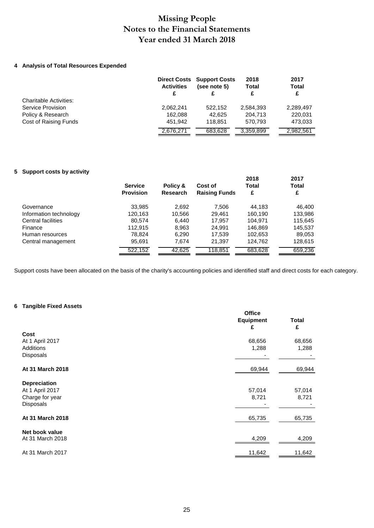## **4 Analysis of Total Resources Expended**

|                               | <b>Activities</b><br>£ | <b>Direct Costs Support Costs</b><br>(see note 5) | 2018<br>Total<br>£ | 2017<br><b>Total</b><br>£ |
|-------------------------------|------------------------|---------------------------------------------------|--------------------|---------------------------|
| <b>Charitable Activities:</b> |                        |                                                   |                    |                           |
| Service Provision             | 2,062,241              | 522.152                                           | 2,584,393          | 2,289,497                 |
| Policy & Research             | 162.088                | 42.625                                            | 204.713            | 220.031                   |
| Cost of Raising Funds         | 451.942                | 118.851                                           | 570.793            | 473,033                   |
|                               | 2,676,271              | 683.628                                           | 3,359,899          | 2,982,561                 |

## **5 Support costs by activity**

|                        | <b>Service</b>   | Policy &        | Cost of              | 2018<br><b>Total</b> | 2017<br><b>Total</b> |
|------------------------|------------------|-----------------|----------------------|----------------------|----------------------|
|                        | <b>Provision</b> | <b>Research</b> | <b>Raising Funds</b> | £                    | £                    |
| Governance             | 33,985           | 2.692           | 7.506                | 44.183               | 46,400               |
| Information technology | 120,163          | 10,566          | 29.461               | 160,190              | 133,986              |
| Central facilities     | 80,574           | 6.440           | 17.957               | 104.971              | 115,645              |
| Finance                | 112.915          | 8.963           | 24.991               | 146,869              | 145,537              |
| Human resources        | 78,824           | 6,290           | 17,539               | 102,653              | 89,053               |
| Central management     | 95,691           | 7.674           | 21,397               | 124,762              | 128,615              |
|                        | 522.152          | 42.625          | 118.851              | 683.628              | 659,236              |

Support costs have been allocated on the basis of the charity's accounting policies and identified staff and direct costs for each category.

## **6 Tangible Fixed Assets**

|                                                           | <b>Office</b><br><b>Equipment</b><br>£ | <b>Total</b><br>£ |
|-----------------------------------------------------------|----------------------------------------|-------------------|
| Cost                                                      |                                        |                   |
| At 1 April 2017                                           | 68,656                                 | 68,656            |
| Additions<br>Disposals                                    | 1,288                                  | 1,288             |
| At 31 March 2018                                          | 69,944                                 | 69,944            |
| <b>Depreciation</b><br>At 1 April 2017<br>Charge for year | 57,014<br>8,721                        | 57,014<br>8,721   |
| Disposals<br>At 31 March 2018                             | 65,735                                 | 65,735            |
| Net book value<br>At 31 March 2018                        | 4,209                                  | 4,209             |
| At 31 March 2017                                          | 11,642                                 | 11,642            |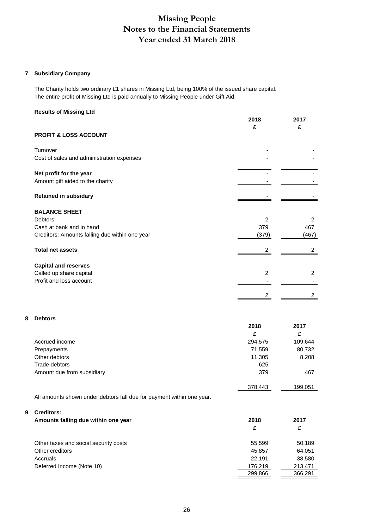## **7 Subsidiary Company**

The Charity holds two ordinary £1 shares in Missing Ltd, being 100% of the issued share capital. The entire profit of Missing Ltd is paid annually to Missing People under Gift Aid.

#### **Results of Missing Ltd**

|                                                             | 2018           | 2017           |
|-------------------------------------------------------------|----------------|----------------|
| PROFIT & LOSS ACCOUNT                                       | £              | £              |
| Turnover                                                    |                |                |
| Cost of sales and administration expenses                   |                |                |
| Net profit for the year<br>Amount gift aided to the charity |                |                |
| <b>Retained in subsidary</b>                                |                |                |
| <b>BALANCE SHEET</b>                                        |                |                |
| Debtors                                                     | 2              | 2              |
| Cash at bank and in hand                                    | 379            | 467            |
| Creditors: Amounts falling due within one year              | (379)          | (467)          |
| <b>Total net assets</b>                                     |                | 2              |
| <b>Capital and reserves</b>                                 |                |                |
| Called up share capital                                     | $\overline{2}$ | 2              |
| Profit and loss account                                     |                |                |
|                                                             |                | $\overline{2}$ |
|                                                             |                |                |

#### **8 Debtors**

|                            | 2018    | 2017    |
|----------------------------|---------|---------|
|                            | £       | £       |
| Accrued income             | 294,575 | 109,644 |
| Prepayments                | 71,559  | 80,732  |
| Other debtors              | 11,305  | 8,208   |
| Trade debtors              | 625     | -       |
| Amount due from subsidiary | 379     | 467     |
|                            |         |         |
|                            | 378,443 | 199,051 |

All amounts shown under debtors fall due for payment within one year.

#### **9 Creditors:**

| Amounts falling due within one year   | 2018    | 2017    |  |
|---------------------------------------|---------|---------|--|
|                                       | £       | £       |  |
| Other taxes and social security costs | 55.599  | 50,189  |  |
| Other creditors                       | 45.857  | 64,051  |  |
| Accruals                              | 22.191  | 38,580  |  |
| Deferred Income (Note 10)             | 176,219 | 213,471 |  |
|                                       | 299,866 | 366,291 |  |
|                                       |         |         |  |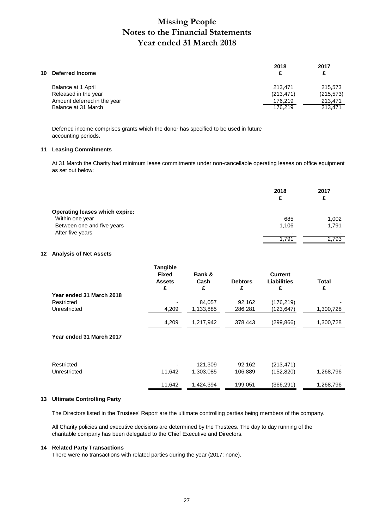| 10 | <b>Deferred Income</b>      | 2018<br>£  | 2017<br>£  |
|----|-----------------------------|------------|------------|
|    | Balance at 1 April          | 213.471    | 215,573    |
|    | Released in the year        | (213, 471) | (215, 573) |
|    | Amount deferred in the year | 176.219    | 213.471    |
|    | Balance at 31 March         | 176.219    | 213.471    |
|    |                             |            |            |

Deferred income comprises grants which the donor has specified to be used in future accounting periods.

#### **11 Leasing Commitments**

At 31 March the Charity had minimum lease commitments under non-cancellable operating leases on office equipment as set out below:

|                                       | 2018<br>£ | 2017<br>£ |
|---------------------------------------|-----------|-----------|
| <b>Operating leases which expire:</b> |           |           |
| Within one year                       | 685       | 1,002     |
| Between one and five years            | 1,106     | 1,791     |
| After five years                      | ۰         |           |
|                                       | 1,791     | 2,793     |

#### **12 Analysis of Net Assets**

|                          | <b>Tangible</b><br><b>Fixed</b><br><b>Assets</b> | Bank &<br>Cash | <b>Debtors</b> | <b>Current</b><br><b>Liabilities</b> | Total     |
|--------------------------|--------------------------------------------------|----------------|----------------|--------------------------------------|-----------|
| Year ended 31 March 2018 | £                                                | £              | £              | £                                    | £         |
| Restricted               | -                                                | 84.057         | 92.162         | (176, 219)                           |           |
| Unrestricted             | 4.209                                            | 1.133.885      | 286.281        | (123,647)                            | 1,300,728 |
|                          | 4,209                                            | 1,217,942      | 378,443        | (299,866)                            | 1,300,728 |

## **Year ended 31 March 2017**

| Restricted   | ۰      | 121,309   | 92,162  | (213, 471) | $\overline{\phantom{0}}$ |
|--------------|--------|-----------|---------|------------|--------------------------|
| Unrestricted | 11.642 | .303.085  | 106,889 | (152, 820) | ,268,796                 |
|              | 11.642 | 1,424,394 | 199,051 | (366,291)  | ,268,796                 |

#### **13 Ultimate Controlling Party**

The Directors listed in the Trustees' Report are the ultimate controlling parties being members of the company.

All Charity policies and executive decisions are determined by the Trustees. The day to day running of the charitable company has been delegated to the Chief Executive and Directors.

#### **14 Related Party Transactions**

There were no transactions with related parties during the year (2017: none).